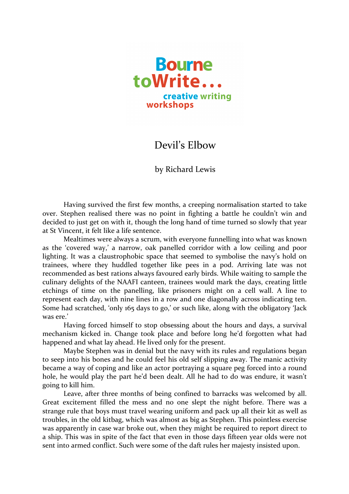

## Devil's Elbow

by Richard Lewis

Having survived the first few months, a creeping normalisation started to take over. Stephen realised there was no point in fighting a battle he couldn't win and decided to just get on with it, though the long hand of time turned so slowly that year at St Vincent, it felt like a life sentence.

Mealtimes were always a scrum, with everyone funnelling into what was known as the 'covered way,' a narrow, oak panelled corridor with a low ceiling and poor lighting. It was a claustrophobic space that seemed to symbolise the navy's hold on trainees, where they huddled together like pees in a pod. Arriving late was not recommended as best rations always favoured early birds. While waiting to sample the culinary delights of the NAAFI canteen, trainees would mark the days, creating little etchings of time on the panelling, like prisoners might on a cell wall. A line to represent each day, with nine lines in a row and one diagonally across indicating ten. Some had scratched, 'only 165 days to go,' or such like, along with the obligatory 'Jack was ere.'

Having forced himself to stop obsessing about the hours and days, a survival mechanism kicked in. Change took place and before long he'd forgotten what had happened and what lay ahead. He lived only for the present.

Maybe Stephen was in denial but the navy with its rules and regulations began to seep into his bones and he could feel his old self slipping away. The manic activity became a way of coping and like an actor portraying a square peg forced into a round hole, he would play the part he'd been dealt. All he had to do was endure, it wasn't going to kill him.

Leave, after three months of being confined to barracks was welcomed by all. Great excitement filled the mess and no one slept the night before. There was a strange rule that boys must travel wearing uniform and pack up all their kit as well as troubles, in the old kitbag, which was almost as big as Stephen. This pointless exercise was apparently in case war broke out, when they might be required to report direct to a ship. This was in spite of the fact that even in those days fifteen year olds were not sent into armed conflict. Such were some of the daft rules her majesty insisted upon.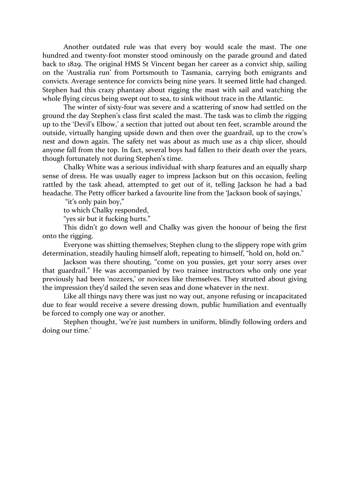Another outdated rule was that every boy would scale the mast. The one hundred and twenty-foot monster stood ominously on the parade ground and dated back to 1829. The original HMS St Vincent began her career as a convict ship, sailing on the 'Australia run' from Portsmouth to Tasmania, carrying both emigrants and convicts. Average sentence for convicts being nine years. It seemed little had changed. Stephen had this crazy phantasy about rigging the mast with sail and watching the whole flying circus being swept out to sea, to sink without trace in the Atlantic.

The winter of sixty-four was severe and a scattering of snow had settled on the ground the day Stephen's class first scaled the mast. The task was to climb the rigging up to the 'Devil's Elbow,' a section that jutted out about ten feet, scramble around the outside, virtually hanging upside down and then over the guardrail, up to the crow's nest and down again. The safety net was about as much use as a chip slicer, should anyone fall from the top. In fact, several boys had fallen to their death over the years, though fortunately not during Stephen's time.

Chalky White was a serious individual with sharp features and an equally sharp sense of dress. He was usually eager to impress Jackson but on this occasion, feeling rattled by the task ahead, attempted to get out of it, telling Jackson he had a bad headache. The Petty officer barked a favourite line from the 'Jackson book of sayings,'

"it's only pain boy,"

to which Chalky responded,

"yes sir but it fucking hurts."

This didn't go down well and Chalky was given the honour of being the first onto the rigging.

Everyone was shitting themselves; Stephen clung to the slippery rope with grim determination, steadily hauling himself aloft, repeating to himself, "hold on, hold on."

Jackson was there shouting, "come on you pussies, get your sorry arses over that guardrail." He was accompanied by two trainee instructors who only one year previously had been 'nozzers,' or novices like themselves. They strutted about giving the impression they'd sailed the seven seas and done whatever in the next.

Like all things navy there was just no way out, anyone refusing or incapacitated due to fear would receive a severe dressing down, public humiliation and eventually be forced to comply one way or another.

Stephen thought, 'we're just numbers in uniform, blindly following orders and doing our time.'